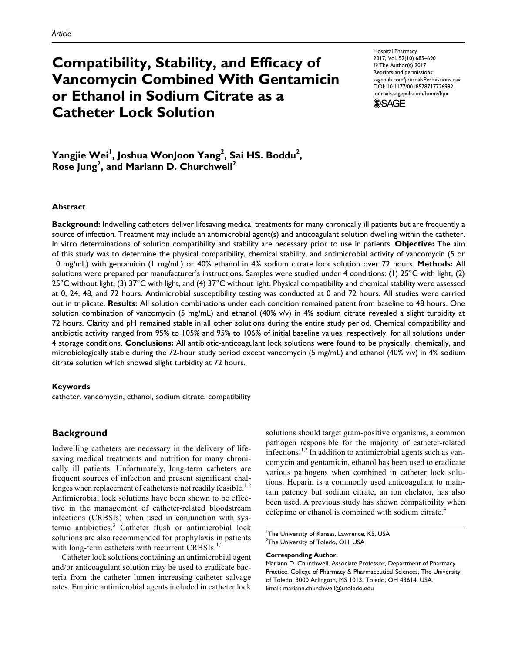# **Compatibility, Stability, and Efficacy of Vancomycin Combined With Gentamicin or Ethanol in Sodium Citrate as a Catheter Lock Solution**

https://doi.org/10.1177/0018578717726992 DOI: 10.1177/0018578717726992 Hospital Pharmacy 2017, Vol. 52(10) 685 –690 © The Author(s) 2017 Reprints and permissions: sagepub.com/journalsPermissions.nav journals.sagepub.com/home/hpx



**Yangjie Wei<sup>1</sup> , Joshua WonJoon Yang<sup>2</sup> , Sai HS. Boddu<sup>2</sup> , Rose Jung<sup>2</sup> , and Mariann D. Churchwell<sup>2</sup>**

#### **Abstract**

**Background:** Indwelling catheters deliver lifesaving medical treatments for many chronically ill patients but are frequently a source of infection. Treatment may include an antimicrobial agent(s) and anticoagulant solution dwelling within the catheter. In vitro determinations of solution compatibility and stability are necessary prior to use in patients. **Objective:** The aim of this study was to determine the physical compatibility, chemical stability, and antimicrobial activity of vancomycin (5 or 10 mg/mL) with gentamicin (1 mg/mL) or 40% ethanol in 4% sodium citrate lock solution over 72 hours. **Methods:** All solutions were prepared per manufacturer's instructions. Samples were studied under 4 conditions: (1) 25°C with light, (2) 25°C without light, (3) 37°C with light, and (4) 37°C without light. Physical compatibility and chemical stability were assessed at 0, 24, 48, and 72 hours. Antimicrobial susceptibility testing was conducted at 0 and 72 hours. All studies were carried out in triplicate. **Results:** All solution combinations under each condition remained patent from baseline to 48 hours. One solution combination of vancomycin (5 mg/mL) and ethanol (40% v/v) in 4% sodium citrate revealed a slight turbidity at 72 hours. Clarity and pH remained stable in all other solutions during the entire study period. Chemical compatibility and antibiotic activity ranged from 95% to 105% and 95% to 106% of initial baseline values, respectively, for all solutions under 4 storage conditions. **Conclusions:** All antibiotic-anticoagulant lock solutions were found to be physically, chemically, and microbiologically stable during the 72-hour study period except vancomycin (5 mg/mL) and ethanol (40% v/v) in 4% sodium citrate solution which showed slight turbidity at 72 hours.

#### **Keywords**

catheter, vancomycin, ethanol, sodium citrate, compatibility

# **Background**

Indwelling catheters are necessary in the delivery of lifesaving medical treatments and nutrition for many chronically ill patients. Unfortunately, long-term catheters are frequent sources of infection and present significant challenges when replacement of catheters is not readily feasible.<sup>1,2</sup> Antimicrobial lock solutions have been shown to be effective in the management of catheter-related bloodstream infections (CRBSIs) when used in conjunction with systemic antibiotics.<sup>3</sup> Catheter flush or antimicrobial lock solutions are also recommended for prophylaxis in patients with long-term catheters with recurrent CRBSIs.<sup>1,2</sup>

Catheter lock solutions containing an antimicrobial agent and/or anticoagulant solution may be used to eradicate bacteria from the catheter lumen increasing catheter salvage rates. Empiric antimicrobial agents included in catheter lock

solutions should target gram-positive organisms, a common pathogen responsible for the majority of catheter-related infections.<sup>1,2</sup> In addition to antimicrobial agents such as vancomycin and gentamicin, ethanol has been used to eradicate various pathogens when combined in catheter lock solutions. Heparin is a commonly used anticoagulant to maintain patency but sodium citrate, an ion chelator, has also been used. A previous study has shown compatibility when cefepime or ethanol is combined with sodium citrate.<sup>4</sup>

#### **Corresponding Author:**

<sup>&</sup>lt;sup>1</sup>The University of Kansas, Lawrence, KS, USA

<sup>&</sup>lt;sup>2</sup>The University of Toledo, OH, USA

Mariann D. Churchwell, Associate Professor, Department of Pharmacy Practice, College of Pharmacy & Pharmaceutical Sciences, The University of Toledo, 3000 Arlington, MS 1013, Toledo, OH 43614, USA. Email: mariann.churchwell@utoledo.edu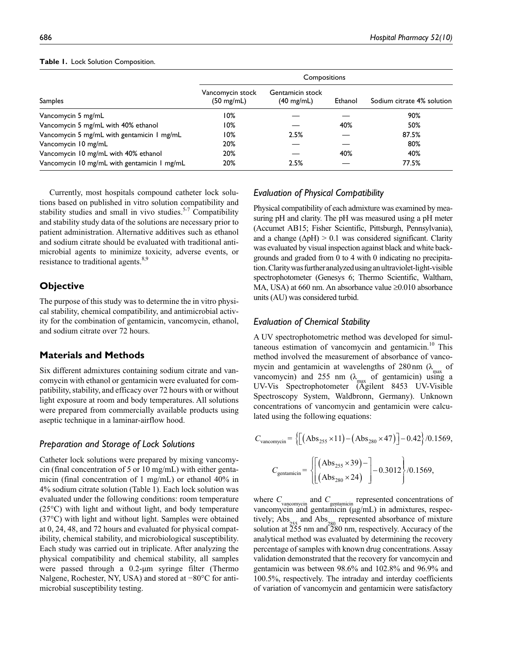|                                             | Compositions                             |                                          |         |                            |
|---------------------------------------------|------------------------------------------|------------------------------------------|---------|----------------------------|
| <b>Samples</b>                              | Vancomycin stock<br>$(50 \text{ mg/mL})$ | Gentamicin stock<br>$(40 \text{ mg/mL})$ | Ethanol | Sodium citrate 4% solution |
| Vancomycin 5 mg/mL                          | 10%                                      |                                          |         | 90%                        |
| Vancomycin 5 mg/mL with 40% ethanol         | 10%                                      |                                          | 40%     | 50%                        |
| Vancomycin 5 mg/mL with gentamicin 1 mg/mL  | 10%                                      | 2.5%                                     |         | 87.5%                      |
| Vancomycin 10 mg/mL                         | 20%                                      |                                          |         | 80%                        |
| Vancomycin 10 mg/mL with 40% ethanol        | 20%                                      |                                          | 40%     | 40%                        |
| Vancomycin 10 mg/mL with gentamicin 1 mg/mL | 20%                                      | 2.5%                                     |         | 77.5%                      |

#### **Table 1.** Lock Solution Composition.

Currently, most hospitals compound catheter lock solutions based on published in vitro solution compatibility and stability studies and small in vivo studies. $5-7$  Compatibility and stability study data of the solutions are necessary prior to patient administration. Alternative additives such as ethanol and sodium citrate should be evaluated with traditional antimicrobial agents to minimize toxicity, adverse events, or resistance to traditional agents.<sup>8,9</sup>

# **Objective**

The purpose of this study was to determine the in vitro physical stability, chemical compatibility, and antimicrobial activity for the combination of gentamicin, vancomycin, ethanol, and sodium citrate over 72 hours.

# **Materials and Methods**

Six different admixtures containing sodium citrate and vancomycin with ethanol or gentamicin were evaluated for compatibility, stability, and efficacy over 72 hours with or without light exposure at room and body temperatures. All solutions were prepared from commercially available products using aseptic technique in a laminar-airflow hood.

#### *Preparation and Storage of Lock Solutions*

Catheter lock solutions were prepared by mixing vancomycin (final concentration of 5 or 10 mg/mL) with either gentamicin (final concentration of 1 mg/mL) or ethanol 40% in 4% sodium citrate solution (Table 1). Each lock solution was evaluated under the following conditions: room temperature (25°C) with light and without light, and body temperature (37°C) with light and without light. Samples were obtained at 0, 24, 48, and 72 hours and evaluated for physical compatibility, chemical stability, and microbiological susceptibility. Each study was carried out in triplicate. After analyzing the physical compatibility and chemical stability, all samples were passed through a 0.2-µm syringe filter (Thermo Nalgene, Rochester, NY, USA) and stored at −80°C for antimicrobial susceptibility testing.

#### *Evaluation of Physical Compatibility*

Physical compatibility of each admixture was examined by measuring pH and clarity. The pH was measured using a pH meter (Accumet AB15; Fisher Scientific, Pittsburgh, Pennsylvania), and a change  $(\Delta pH) > 0.1$  was considered significant. Clarity was evaluated by visual inspection against black and white backgrounds and graded from 0 to 4 with 0 indicating no precipitation. Clarity was further analyzed using an ultraviolet-light-visible spectrophotometer (Genesys 6; Thermo Scientific, Waltham, MA, USA) at 660 nm. An absorbance value ≥0.010 absorbance units (AU) was considered turbid.

# *Evaluation of Chemical Stability*

A UV spectrophotometric method was developed for simultaneous estimation of vancomycin and gentamicin.<sup>10</sup> This method involved the measurement of absorbance of vancomycin and gentamicin at wavelengths of  $280 \text{ nm}$  ( $\lambda_{\text{max}}$  of vancomycin) and 255 nm  $(\lambda_{\text{max}})$  of gentamicin) using a UV-Vis Spectrophotometer (Agilent 8453 UV-Visible Spectroscopy System, Waldbronn, Germany). Unknown concentrations of vancomycin and gentamicin were calculated using the following equations:

$$
C_{\text{vancomycin}} = \left\{ \left[ \left( \text{Abs}_{255} \times 11 \right) - \left( \text{Abs}_{280} \times 47 \right) \right] - 0.42 \right\} / 0.1569,
$$
\n
$$
C_{\text{gentamicin}} = \left\{ \left[ \left( \text{Abs}_{255} \times 39 \right) - \right] - 0.3012 \right\} / 0.1569,
$$

where  $C_{\text{vancomycin}}$  and  $C_{\text{gettamicin}}$  represented concentrations of vancomycin and gentamicin (µg/mL) in admixtures, respectively;  $\text{Abs}_{255}$  and  $\text{Abs}_{280}$  represented absorbance of mixture solution at  $\tilde{25}5$  nm and  $\tilde{280}$  nm, respectively. Accuracy of the analytical method was evaluated by determining the recovery percentage of samples with known drug concentrations. Assay validation demonstrated that the recovery for vancomycin and gentamicin was between 98.6% and 102.8% and 96.9% and 100.5%, respectively. The intraday and interday coefficients of variation of vancomycin and gentamicin were satisfactory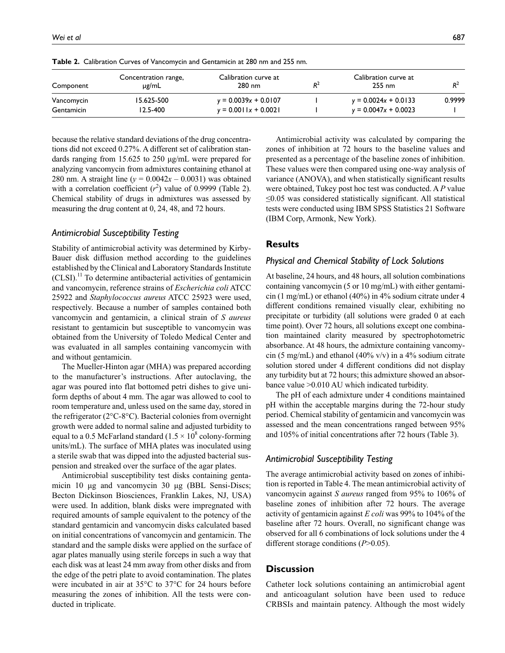| Wei et al | 90.<br>. . |
|-----------|------------|
|           |            |

| Component  | Concentration range,<br>µg/mL | Calibration curve at<br>$280$ nm | $R^2$ | Calibration curve at<br>$255 \text{ nm}$ |        |
|------------|-------------------------------|----------------------------------|-------|------------------------------------------|--------|
| Vancomycin | 15.625-500                    | $y = 0.0039x + 0.0107$           |       | $y = 0.0024x + 0.0133$                   | 0.9999 |
| Gentamicin | 12.5-400                      | $v = 0.0011x + 0.0021$           |       | $y = 0.0047x + 0.0023$                   |        |

**Table 2.** Calibration Curves of Vancomycin and Gentamicin at 280 nm and 255 nm.

because the relative standard deviations of the drug concentrations did not exceed 0.27%. A different set of calibration standards ranging from 15.625 to 250 µg/mL were prepared for analyzing vancomycin from admixtures containing ethanol at 280 nm. A straight line ( $y = 0.0042x - 0.0031$ ) was obtained with a correlation coefficient  $(r^2)$  value of 0.9999 (Table 2). Chemical stability of drugs in admixtures was assessed by measuring the drug content at 0, 24, 48, and 72 hours.

# *Antimicrobial Susceptibility Testing*

Stability of antimicrobial activity was determined by Kirby-Bauer disk diffusion method according to the guidelines established by the Clinical and Laboratory Standards Institute  $(CLSI).$ <sup>11</sup> To determine antibacterial activities of gentamicin and vancomycin, reference strains of *Escherichia coli* ATCC 25922 and *Staphylococcus aureus* ATCC 25923 were used, respectively. Because a number of samples contained both vancomycin and gentamicin, a clinical strain of *S aureus* resistant to gentamicin but susceptible to vancomycin was obtained from the University of Toledo Medical Center and was evaluated in all samples containing vancomycin with and without gentamicin.

The Mueller-Hinton agar (MHA) was prepared according to the manufacturer's instructions. After autoclaving, the agar was poured into flat bottomed petri dishes to give uniform depths of about 4 mm. The agar was allowed to cool to room temperature and, unless used on the same day, stored in the refrigerator (2°C-8°C). Bacterial colonies from overnight growth were added to normal saline and adjusted turbidity to equal to a 0.5 McFarland standard  $(1.5 \times 10^8 \text{ colony-forming})$ units/mL). The surface of MHA plates was inoculated using a sterile swab that was dipped into the adjusted bacterial suspension and streaked over the surface of the agar plates.

Antimicrobial susceptibility test disks containing gentamicin 10 µg and vancomycin 30 µg (BBL Sensi-Discs; Becton Dickinson Biosciences, Franklin Lakes, NJ, USA) were used. In addition, blank disks were impregnated with required amounts of sample equivalent to the potency of the standard gentamicin and vancomycin disks calculated based on initial concentrations of vancomycin and gentamicin. The standard and the sample disks were applied on the surface of agar plates manually using sterile forceps in such a way that each disk was at least 24 mm away from other disks and from the edge of the petri plate to avoid contamination. The plates were incubated in air at 35°C to 37°C for 24 hours before measuring the zones of inhibition. All the tests were conducted in triplicate.

Antimicrobial activity was calculated by comparing the zones of inhibition at 72 hours to the baseline values and presented as a percentage of the baseline zones of inhibition. These values were then compared using one-way analysis of variance (ANOVA), and when statistically significant results were obtained, Tukey post hoc test was conducted. A *P* value ≤0.05 was considered statistically significant. All statistical tests were conducted using IBM SPSS Statistics 21 Software (IBM Corp, Armonk, New York).

#### **Results**

#### *Physical and Chemical Stability of Lock Solutions*

At baseline, 24 hours, and 48 hours, all solution combinations containing vancomycin (5 or 10 mg/mL) with either gentamicin (1 mg/mL) or ethanol (40%) in 4% sodium citrate under 4 different conditions remained visually clear, exhibiting no precipitate or turbidity (all solutions were graded 0 at each time point). Over 72 hours, all solutions except one combination maintained clarity measured by spectrophotometric absorbance. At 48 hours, the admixture containing vancomycin (5 mg/mL) and ethanol (40% v/v) in a 4% sodium citrate solution stored under 4 different conditions did not display any turbidity but at 72 hours; this admixture showed an absorbance value >0.010 AU which indicated turbidity.

The pH of each admixture under 4 conditions maintained pH within the acceptable margins during the 72-hour study period. Chemical stability of gentamicin and vancomycin was assessed and the mean concentrations ranged between 95% and 105% of initial concentrations after 72 hours (Table 3).

# *Antimicrobial Susceptibility Testing*

The average antimicrobial activity based on zones of inhibition is reported in Table 4. The mean antimicrobial activity of vancomycin against *S aureus* ranged from 95% to 106% of baseline zones of inhibition after 72 hours. The average activity of gentamicin against *E coli* was 99% to 104% of the baseline after 72 hours. Overall, no significant change was observed for all 6 combinations of lock solutions under the 4 different storage conditions (*P*>0.05).

# **Discussion**

Catheter lock solutions containing an antimicrobial agent and anticoagulant solution have been used to reduce CRBSIs and maintain patency. Although the most widely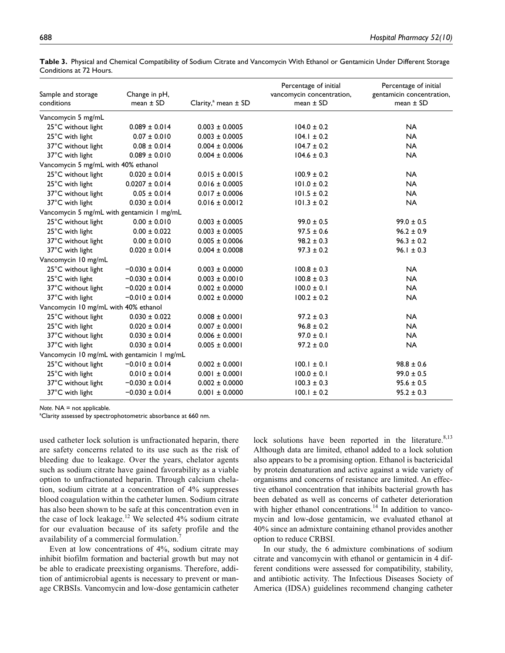| Sample and storage                          | Change in pH,      |                            | Percentage of initial<br>vancomycin concentration, | Percentage of initial<br>gentamicin concentration, |
|---------------------------------------------|--------------------|----------------------------|----------------------------------------------------|----------------------------------------------------|
| conditions                                  | mean $\pm$ SD      | Clarity, $a$ mean $\pm$ SD | mean $\pm$ SD                                      | mean $\pm$ SD                                      |
| Vancomycin 5 mg/mL                          |                    |                            |                                                    |                                                    |
| 25°C without light                          | $0.089 \pm 0.014$  | $0.003 \pm 0.0005$         | $104.0 \pm 0.2$                                    | <b>NA</b>                                          |
| 25°C with light                             | $0.07 \pm 0.010$   | $0.003 \pm 0.0005$         | $104.1 \pm 0.2$                                    | <b>NA</b>                                          |
| 37°C without light                          | $0.08 \pm 0.014$   | $0.004 \pm 0.0006$         | $104.7 \pm 0.2$                                    | <b>NA</b>                                          |
| 37°C with light                             | $0.089 \pm 0.010$  | $0.004 \pm 0.0006$         | $104.6 \pm 0.3$                                    | <b>NA</b>                                          |
| Vancomycin 5 mg/mL with 40% ethanol         |                    |                            |                                                    |                                                    |
| 25°C without light                          | $0.020 \pm 0.014$  | $0.015 \pm 0.0015$         | $100.9 \pm 0.2$                                    | <b>NA</b>                                          |
| 25°C with light                             | $0.0207 \pm 0.014$ | $0.016 \pm 0.0005$         | $101.0 \pm 0.2$                                    | <b>NA</b>                                          |
| 37°C without light                          | $0.05 \pm 0.014$   | $0.017 \pm 0.0006$         | $101.5 \pm 0.2$                                    | <b>NA</b>                                          |
| 37°C with light                             | $0.030 \pm 0.014$  | $0.016 \pm 0.0012$         | $101.3 \pm 0.2$                                    | <b>NA</b>                                          |
| Vancomycin 5 mg/mL with gentamicin 1 mg/mL  |                    |                            |                                                    |                                                    |
| 25°C without light                          | $0.00 \pm 0.010$   | $0.003 \pm 0.0005$         | $99.0 \pm 0.5$                                     | $99.0 \pm 0.5$                                     |
| 25°C with light                             | $0.00 \pm 0.022$   | $0.003 \pm 0.0005$         | $97.5 \pm 0.6$                                     | $96.2 \pm 0.9$                                     |
| 37°C without light                          | $0.00 \pm 0.010$   | $0.005 \pm 0.0006$         | $98.2 \pm 0.3$                                     | $96.3 \pm 0.2$                                     |
| 37°C with light                             | $0.020 \pm 0.014$  | $0.004 \pm 0.0008$         | $97.3 \pm 0.2$                                     | $96.1 \pm 0.3$                                     |
| Vancomycin 10 mg/mL                         |                    |                            |                                                    |                                                    |
| 25°C without light                          | $-0.030 \pm 0.014$ | $0.003 \pm 0.0000$         | $100.8 \pm 0.3$                                    | <b>NA</b>                                          |
| 25°C with light                             | $-0.030 \pm 0.014$ | $0.003 \pm 0.0010$         | $100.8 \pm 0.3$                                    | <b>NA</b>                                          |
| 37°C without light                          | $-0.020 \pm 0.014$ | $0.002 \pm 0.0000$         | $100.0 \pm 0.1$                                    | <b>NA</b>                                          |
| 37°C with light                             | $-0.010 \pm 0.014$ | $0.002 \pm 0.0000$         | $100.2 \pm 0.2$                                    | <b>NA</b>                                          |
| Vancomycin 10 mg/mL with 40% ethanol        |                    |                            |                                                    |                                                    |
| 25°C without light                          | $0.030 \pm 0.022$  | $0.008 \pm 0.0001$         | $97.2 \pm 0.3$                                     | <b>NA</b>                                          |
| 25°C with light                             | $0.020 \pm 0.014$  | $0.007 \pm 0.0001$         | $96.8 \pm 0.2$                                     | <b>NA</b>                                          |
| 37°C without light                          | $0.030 \pm 0.014$  | $0.006 \pm 0.0001$         | $97.0 \pm 0.1$                                     | <b>NA</b>                                          |
| 37°C with light                             | $0.030 \pm 0.014$  | $0.005 \pm 0.0001$         | $97.2 \pm 0.0$                                     | <b>NA</b>                                          |
| Vancomycin 10 mg/mL with gentamicin 1 mg/mL |                    |                            |                                                    |                                                    |
| 25°C without light                          | $-0.010 \pm 0.014$ | $0.002 \pm 0.0001$         | $100.1 \pm 0.1$                                    | $98.8 \pm 0.6$                                     |
| 25°C with light                             | $0.010 \pm 0.014$  | $0.001 \pm 0.0001$         | $100.0 \pm 0.1$                                    | $99.0 \pm 0.5$                                     |
| 37°C without light                          | $-0.030 \pm 0.014$ | $0.002 \pm 0.0000$         | $100.3 \pm 0.3$                                    | $95.6 \pm 0.5$                                     |
| 37°C with light                             | $-0.030 \pm 0.014$ | $0.001 \pm 0.0000$         | $100.1 \pm 0.2$                                    | $95.2 \pm 0.3$                                     |

**Table 3.** Physical and Chemical Compatibility of Sodium Citrate and Vancomycin With Ethanol or Gentamicin Under Different Storage Conditions at 72 Hours.

*Note.* NA = not applicable.

<sup>a</sup>Clarity assessed by spectrophotometric absorbance at 660 nm.

used catheter lock solution is unfractionated heparin, there are safety concerns related to its use such as the risk of bleeding due to leakage. Over the years, chelator agents such as sodium citrate have gained favorability as a viable option to unfractionated heparin. Through calcium chelation, sodium citrate at a concentration of 4% suppresses blood coagulation within the catheter lumen. Sodium citrate has also been shown to be safe at this concentration even in the case of lock leakage.<sup>12</sup> We selected  $4\%$  sodium citrate for our evaluation because of its safety profile and the availability of a commercial formulation.

Even at low concentrations of 4%, sodium citrate may inhibit biofilm formation and bacterial growth but may not be able to eradicate preexisting organisms. Therefore, addition of antimicrobial agents is necessary to prevent or manage CRBSIs. Vancomycin and low-dose gentamicin catheter

lock solutions have been reported in the literature. $8,13$ Although data are limited, ethanol added to a lock solution also appears to be a promising option. Ethanol is bactericidal by protein denaturation and active against a wide variety of organisms and concerns of resistance are limited. An effective ethanol concentration that inhibits bacterial growth has been debated as well as concerns of catheter deterioration with higher ethanol concentrations.<sup>14</sup> In addition to vancomycin and low-dose gentamicin, we evaluated ethanol at 40% since an admixture containing ethanol provides another option to reduce CRBSI.

In our study, the 6 admixture combinations of sodium citrate and vancomycin with ethanol or gentamicin in 4 different conditions were assessed for compatibility, stability, and antibiotic activity. The Infectious Diseases Society of America (IDSA) guidelines recommend changing catheter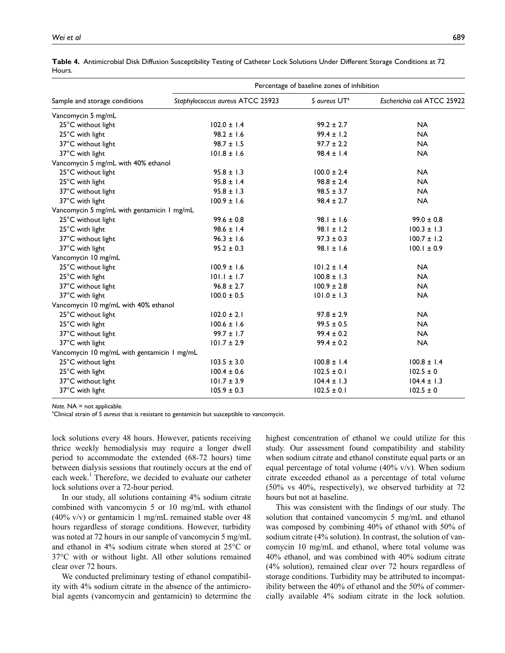|                                             | Percentage of baseline zones of inhibition |                          |                             |  |  |
|---------------------------------------------|--------------------------------------------|--------------------------|-----------------------------|--|--|
| Sample and storage conditions               | Staphylococcus aureus ATCC 25923           | S aureus UT <sup>a</sup> | Escherichia coli ATCC 25922 |  |  |
| Vancomycin 5 mg/mL                          |                                            |                          |                             |  |  |
| 25°C without light                          | $102.0 \pm 1.4$                            | $99.2 \pm 2.7$           | <b>NA</b>                   |  |  |
| 25°C with light                             | $98.2 \pm 1.6$                             | $99.4 \pm 1.2$           | <b>NA</b>                   |  |  |
| 37°C without light                          | $98.7 \pm 1.5$                             | $97.7 \pm 2.2$           | <b>NA</b>                   |  |  |
| 37°C with light                             | $101.8 \pm 1.6$                            | $98.4 \pm 1.4$           | <b>NA</b>                   |  |  |
| Vancomycin 5 mg/mL with 40% ethanol         |                                            |                          |                             |  |  |
| 25°C without light                          | $95.8 \pm 1.3$                             | $100.0 \pm 2.4$          | <b>NA</b>                   |  |  |
| 25°C with light                             | $95.8 \pm 1.4$                             | $98.8 \pm 2.4$           | <b>NA</b>                   |  |  |
| 37°C without light                          | $95.8 \pm 1.3$                             | $98.5 \pm 3.7$           | <b>NA</b>                   |  |  |
| 37°C with light                             | $100.9 \pm 1.6$                            | $98.4 \pm 2.7$           | <b>NA</b>                   |  |  |
| Vancomycin 5 mg/mL with gentamicin 1 mg/mL  |                                            |                          |                             |  |  |
| 25°C without light                          | $99.6 \pm 0.8$                             | $98.1 \pm 1.6$           | $99.0 \pm 0.8$              |  |  |
| 25°C with light                             | $98.6 \pm 1.4$                             | $98.1 \pm 1.2$           | $100.3 \pm 1.3$             |  |  |
| 37°C without light                          | $96.3 \pm 1.6$                             | $97.3 \pm 0.3$           | $100.7 \pm 1.2$             |  |  |
| 37°C with light                             | $95.2 \pm 0.3$                             | $98.1 \pm 1.6$           | $100.1 \pm 0.9$             |  |  |
| Vancomycin 10 mg/mL                         |                                            |                          |                             |  |  |
| 25°C without light                          | $100.9 \pm 1.6$                            | $101.2 \pm 1.4$          | <b>NA</b>                   |  |  |
| 25°C with light                             | $101.1 \pm 1.7$                            | $100.8 \pm 1.3$          | <b>NA</b>                   |  |  |
| 37°C without light                          | $96.8 \pm 2.7$                             | $100.9 \pm 2.8$          | <b>NA</b>                   |  |  |
| 37°C with light                             | $100.0 \pm 0.5$                            | $101.0 \pm 1.3$          | <b>NA</b>                   |  |  |
| Vancomycin 10 mg/mL with 40% ethanol        |                                            |                          |                             |  |  |
| 25°C without light                          | $102.0 \pm 2.1$                            | $97.8 \pm 2.9$           | <b>NA</b>                   |  |  |
| 25°C with light                             | $100.6 \pm 1.6$                            | $99.5 \pm 0.5$           | <b>NA</b>                   |  |  |
| 37°C without light                          | $99.7 \pm 1.7$                             | $99.4 \pm 0.2$           | <b>NA</b>                   |  |  |
| 37°C with light                             | $101.7 \pm 2.9$                            | $99.4 \pm 0.2$           | <b>NA</b>                   |  |  |
| Vancomycin 10 mg/mL with gentamicin 1 mg/mL |                                            |                          |                             |  |  |
| 25°C without light                          | $103.5 \pm 3.0$                            | $100.8 \pm 1.4$          | $100.8 \pm 1.4$             |  |  |
| 25°C with light                             | $100.4 \pm 0.6$                            | $102.5 \pm 0.1$          | $102.5 \pm 0$               |  |  |
| 37°C without light                          | $101.7 \pm 3.9$                            | $104.4 \pm 1.3$          | $104.4 \pm 1.3$             |  |  |
| 37°C with light                             | $105.9 \pm 0.3$                            | $102.5 \pm 0.1$          | $102.5 \pm 0$               |  |  |

**Table 4.** Antimicrobial Disk Diffusion Susceptibility Testing of Catheter Lock Solutions Under Different Storage Conditions at 72 Hours.

*Note.* NA = not applicable.

<sup>a</sup>Clinical strain of *S* aureus that is resistant to gentamicin but susceptible to vancomycin.

lock solutions every 48 hours. However, patients receiving thrice weekly hemodialysis may require a longer dwell period to accommodate the extended (68-72 hours) time between dialysis sessions that routinely occurs at the end of each week.<sup>1</sup> Therefore, we decided to evaluate our catheter lock solutions over a 72-hour period.

In our study, all solutions containing 4% sodium citrate combined with vancomycin 5 or 10 mg/mL with ethanol  $(40\% \text{ v/v})$  or gentamicin 1 mg/mL remained stable over 48 hours regardless of storage conditions. However, turbidity was noted at 72 hours in our sample of vancomycin 5 mg/mL and ethanol in 4% sodium citrate when stored at 25°C or 37°C with or without light. All other solutions remained clear over 72 hours.

We conducted preliminary testing of ethanol compatibility with 4% sodium citrate in the absence of the antimicrobial agents (vancomycin and gentamicin) to determine the

highest concentration of ethanol we could utilize for this study. Our assessment found compatibility and stability when sodium citrate and ethanol constitute equal parts or an equal percentage of total volume (40% v/v). When sodium citrate exceeded ethanol as a percentage of total volume (50% vs 40%, respectively), we observed turbidity at 72 hours but not at baseline.

This was consistent with the findings of our study. The solution that contained vancomycin 5 mg/mL and ethanol was composed by combining 40% of ethanol with 50% of sodium citrate (4% solution). In contrast, the solution of vancomycin 10 mg/mL and ethanol, where total volume was 40% ethanol, and was combined with 40% sodium citrate (4% solution), remained clear over 72 hours regardless of storage conditions. Turbidity may be attributed to incompatibility between the 40% of ethanol and the 50% of commercially available 4% sodium citrate in the lock solution.